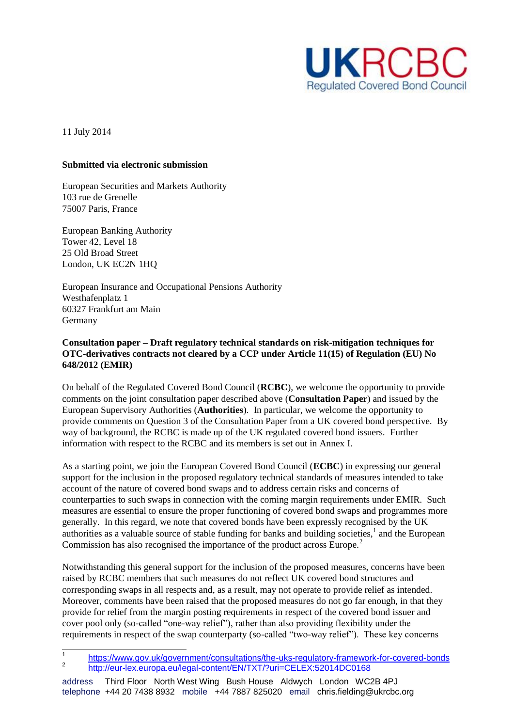

11 July 2014

### **Submitted via electronic submission**

European Securities and Markets Authority 103 rue de Grenelle 75007 Paris, France

European Banking Authority Tower 42, Level 18 25 Old Broad Street London, UK EC2N 1HQ

European Insurance and Occupational Pensions Authority Westhafenplatz 1 60327 Frankfurt am Main Germany

# **Consultation paper – Draft regulatory technical standards on risk-mitigation techniques for OTC-derivatives contracts not cleared by a CCP under Article 11(15) of Regulation (EU) No 648/2012 (EMIR)**

On behalf of the Regulated Covered Bond Council (**RCBC**), we welcome the opportunity to provide comments on the joint consultation paper described above (**Consultation Paper**) and issued by the European Supervisory Authorities (**Authorities**). In particular, we welcome the opportunity to provide comments on Question 3 of the Consultation Paper from a UK covered bond perspective. By way of background, the RCBC is made up of the UK regulated covered bond issuers. Further information with respect to the RCBC and its members is set out in Annex I.

As a starting point, we join the European Covered Bond Council (**ECBC**) in expressing our general support for the inclusion in the proposed regulatory technical standards of measures intended to take account of the nature of covered bond swaps and to address certain risks and concerns of counterparties to such swaps in connection with the coming margin requirements under EMIR. Such measures are essential to ensure the proper functioning of covered bond swaps and programmes more generally. In this regard, we note that covered bonds have been expressly recognised by the UK authorities as a valuable source of stable funding for banks and building societies, $<sup>1</sup>$  and the European</sup> Commission has also recognised the importance of the product across Europe.<sup>2</sup>

Notwithstanding this general support for the inclusion of the proposed measures, concerns have been raised by RCBC members that such measures do not reflect UK covered bond structures and corresponding swaps in all respects and, as a result, may not operate to provide relief as intended. Moreover, comments have been raised that the proposed measures do not go far enough, in that they provide for relief from the margin posting requirements in respect of the covered bond issuer and cover pool only (so-called "one-way relief"), rather than also providing flexibility under the requirements in respect of the swap counterparty (so-called "two-way relief"). These key concerns

 $\frac{1}{1}$ <https://www.gov.uk/government/consultations/the-uks-regulatory-framework-for-covered-bonds> 2 <http://eur-lex.europa.eu/legal-content/EN/TXT/?uri=CELEX:52014DC0168>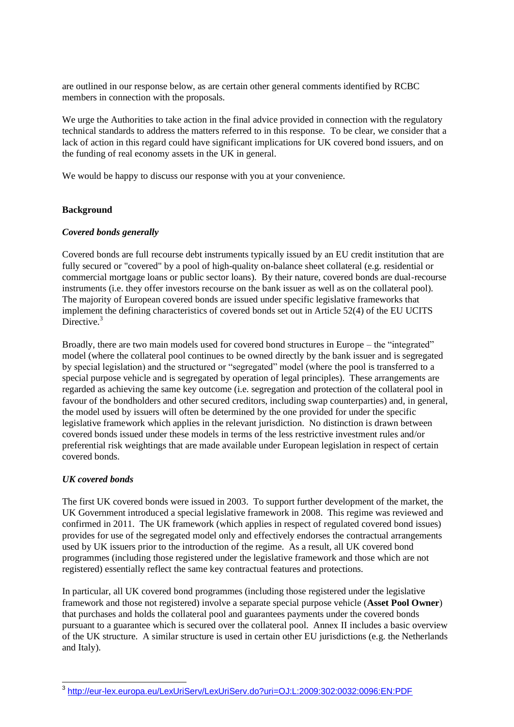are outlined in our response below, as are certain other general comments identified by RCBC members in connection with the proposals.

We urge the Authorities to take action in the final advice provided in connection with the regulatory technical standards to address the matters referred to in this response. To be clear, we consider that a lack of action in this regard could have significant implications for UK covered bond issuers, and on the funding of real economy assets in the UK in general.

We would be happy to discuss our response with you at your convenience.

## **Background**

# *Covered bonds generally*

Covered bonds are full recourse debt instruments typically issued by an EU credit institution that are fully secured or "covered" by a pool of high-quality on-balance sheet collateral (e.g. residential or commercial mortgage loans or public sector loans). By their nature, covered bonds are dual-recourse instruments (i.e. they offer investors recourse on the bank issuer as well as on the collateral pool). The majority of European covered bonds are issued under specific legislative frameworks that implement the defining characteristics of covered bonds set out in Article 52(4) of the EU UCITS Directive.<sup>3</sup>

Broadly, there are two main models used for covered bond structures in Europe – the "integrated" model (where the collateral pool continues to be owned directly by the bank issuer and is segregated by special legislation) and the structured or "segregated" model (where the pool is transferred to a special purpose vehicle and is segregated by operation of legal principles). These arrangements are regarded as achieving the same key outcome (i.e. segregation and protection of the collateral pool in favour of the bondholders and other secured creditors, including swap counterparties) and, in general, the model used by issuers will often be determined by the one provided for under the specific legislative framework which applies in the relevant jurisdiction. No distinction is drawn between covered bonds issued under these models in terms of the less restrictive investment rules and/or preferential risk weightings that are made available under European legislation in respect of certain covered bonds.

## *UK covered bonds*

The first UK covered bonds were issued in 2003. To support further development of the market, the UK Government introduced a special legislative framework in 2008. This regime was reviewed and confirmed in 2011. The UK framework (which applies in respect of regulated covered bond issues) provides for use of the segregated model only and effectively endorses the contractual arrangements used by UK issuers prior to the introduction of the regime. As a result, all UK covered bond programmes (including those registered under the legislative framework and those which are not registered) essentially reflect the same key contractual features and protections.

In particular, all UK covered bond programmes (including those registered under the legislative framework and those not registered) involve a separate special purpose vehicle (**Asset Pool Owner**) that purchases and holds the collateral pool and guarantees payments under the covered bonds pursuant to a guarantee which is secured over the collateral pool. Annex II includes a basic overview of the UK structure. A similar structure is used in certain other EU jurisdictions (e.g. the Netherlands and Italy).

 3 <http://eur-lex.europa.eu/LexUriServ/LexUriServ.do?uri=OJ:L:2009:302:0032:0096:EN:PDF>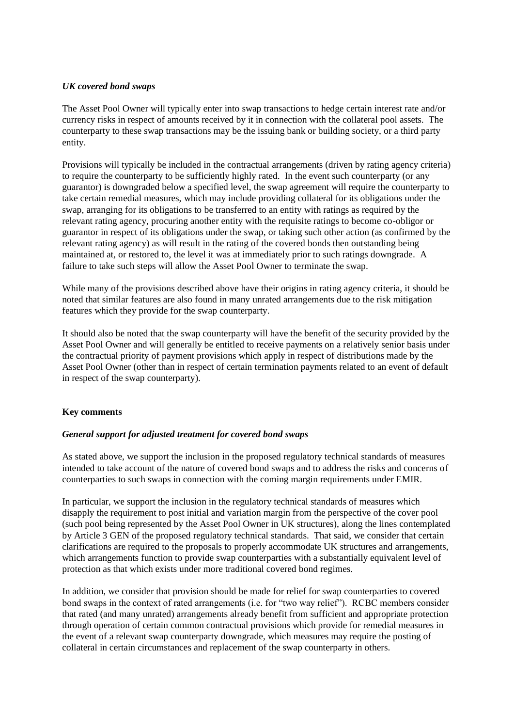# *UK covered bond swaps*

The Asset Pool Owner will typically enter into swap transactions to hedge certain interest rate and/or currency risks in respect of amounts received by it in connection with the collateral pool assets. The counterparty to these swap transactions may be the issuing bank or building society, or a third party entity.

Provisions will typically be included in the contractual arrangements (driven by rating agency criteria) to require the counterparty to be sufficiently highly rated. In the event such counterparty (or any guarantor) is downgraded below a specified level, the swap agreement will require the counterparty to take certain remedial measures, which may include providing collateral for its obligations under the swap, arranging for its obligations to be transferred to an entity with ratings as required by the relevant rating agency, procuring another entity with the requisite ratings to become co-obligor or guarantor in respect of its obligations under the swap, or taking such other action (as confirmed by the relevant rating agency) as will result in the rating of the covered bonds then outstanding being maintained at, or restored to, the level it was at immediately prior to such ratings downgrade. A failure to take such steps will allow the Asset Pool Owner to terminate the swap.

While many of the provisions described above have their origins in rating agency criteria, it should be noted that similar features are also found in many unrated arrangements due to the risk mitigation features which they provide for the swap counterparty.

It should also be noted that the swap counterparty will have the benefit of the security provided by the Asset Pool Owner and will generally be entitled to receive payments on a relatively senior basis under the contractual priority of payment provisions which apply in respect of distributions made by the Asset Pool Owner (other than in respect of certain termination payments related to an event of default in respect of the swap counterparty).

# **Key comments**

# *General support for adjusted treatment for covered bond swaps*

As stated above, we support the inclusion in the proposed regulatory technical standards of measures intended to take account of the nature of covered bond swaps and to address the risks and concerns of counterparties to such swaps in connection with the coming margin requirements under EMIR.

In particular, we support the inclusion in the regulatory technical standards of measures which disapply the requirement to post initial and variation margin from the perspective of the cover pool (such pool being represented by the Asset Pool Owner in UK structures), along the lines contemplated by Article 3 GEN of the proposed regulatory technical standards. That said, we consider that certain clarifications are required to the proposals to properly accommodate UK structures and arrangements, which arrangements function to provide swap counterparties with a substantially equivalent level of protection as that which exists under more traditional covered bond regimes.

In addition, we consider that provision should be made for relief for swap counterparties to covered bond swaps in the context of rated arrangements (i.e. for "two way relief"). RCBC members consider that rated (and many unrated) arrangements already benefit from sufficient and appropriate protection through operation of certain common contractual provisions which provide for remedial measures in the event of a relevant swap counterparty downgrade, which measures may require the posting of collateral in certain circumstances and replacement of the swap counterparty in others.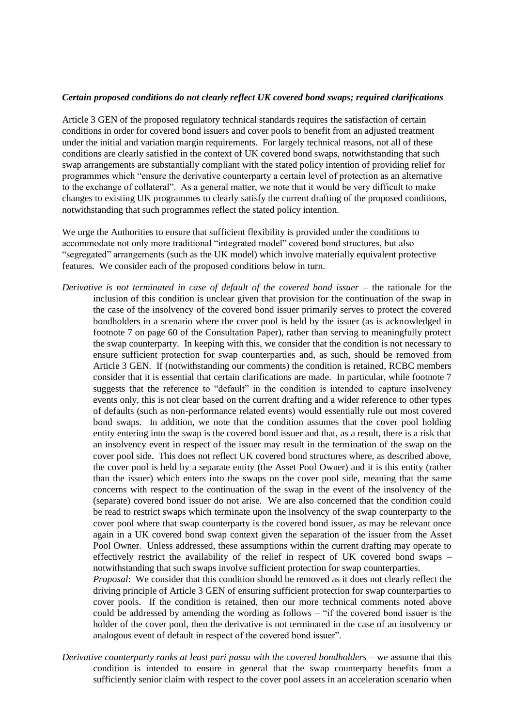#### *Certain proposed conditions do not clearly reflect UK covered bond swaps; required clarifications*

Article 3 GEN of the proposed regulatory technical standards requires the satisfaction of certain conditions in order for covered bond issuers and cover pools to benefit from an adjusted treatment under the initial and variation margin requirements. For largely technical reasons, not all of these conditions are clearly satisfied in the context of UK covered bond swaps, notwithstanding that such swap arrangements are substantially compliant with the stated policy intention of providing relief for programmes which "ensure the derivative counterparty a certain level of protection as an alternative to the exchange of collateral". As a general matter, we note that it would be very difficult to make changes to existing UK programmes to clearly satisfy the current drafting of the proposed conditions, notwithstanding that such programmes reflect the stated policy intention.

We urge the Authorities to ensure that sufficient flexibility is provided under the conditions to accommodate not only more traditional "integrated model" covered bond structures, but also "segregated" arrangements (such as the UK model) which involve materially equivalent protective features. We consider each of the proposed conditions below in turn.

*Derivative is not terminated in case of default of the covered bond issuer* – the rationale for the inclusion of this condition is unclear given that provision for the continuation of the swap in the case of the insolvency of the covered bond issuer primarily serves to protect the covered bondholders in a scenario where the cover pool is held by the issuer (as is acknowledged in footnote 7 on page 60 of the Consultation Paper), rather than serving to meaningfully protect the swap counterparty. In keeping with this, we consider that the condition is not necessary to ensure sufficient protection for swap counterparties and, as such, should be removed from Article 3 GEN. If (notwithstanding our comments) the condition is retained, RCBC members consider that it is essential that certain clarifications are made. In particular, while footnote 7 suggests that the reference to "default" in the condition is intended to capture insolvency events only, this is not clear based on the current drafting and a wider reference to other types of defaults (such as non-performance related events) would essentially rule out most covered bond swaps. In addition, we note that the condition assumes that the cover pool holding entity entering into the swap is the covered bond issuer and that, as a result, there is a risk that an insolvency event in respect of the issuer may result in the termination of the swap on the cover pool side. This does not reflect UK covered bond structures where, as described above, the cover pool is held by a separate entity (the Asset Pool Owner) and it is this entity (rather than the issuer) which enters into the swaps on the cover pool side, meaning that the same concerns with respect to the continuation of the swap in the event of the insolvency of the (separate) covered bond issuer do not arise. We are also concerned that the condition could be read to restrict swaps which terminate upon the insolvency of the swap counterparty to the cover pool where that swap counterparty is the covered bond issuer, as may be relevant once again in a UK covered bond swap context given the separation of the issuer from the Asset Pool Owner. Unless addressed, these assumptions within the current drafting may operate to effectively restrict the availability of the relief in respect of UK covered bond swaps – notwithstanding that such swaps involve sufficient protection for swap counterparties.

*Proposal*: We consider that this condition should be removed as it does not clearly reflect the driving principle of Article 3 GEN of ensuring sufficient protection for swap counterparties to cover pools. If the condition is retained, then our more technical comments noted above could be addressed by amending the wording as follows – "if the covered bond issuer is the holder of the cover pool, then the derivative is not terminated in the case of an insolvency or analogous event of default in respect of the covered bond issuer".

*Derivative counterparty ranks at least pari passu with the covered bondholders* – we assume that this condition is intended to ensure in general that the swap counterparty benefits from a sufficiently senior claim with respect to the cover pool assets in an acceleration scenario when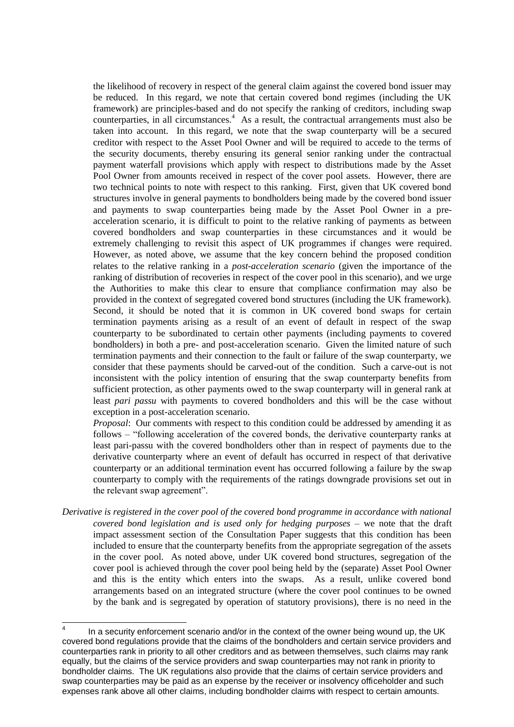the likelihood of recovery in respect of the general claim against the covered bond issuer may be reduced. In this regard, we note that certain covered bond regimes (including the UK framework) are principles-based and do not specify the ranking of creditors, including swap counterparties, in all circumstances.<sup>4</sup> As a result, the contractual arrangements must also be taken into account. In this regard, we note that the swap counterparty will be a secured creditor with respect to the Asset Pool Owner and will be required to accede to the terms of the security documents, thereby ensuring its general senior ranking under the contractual payment waterfall provisions which apply with respect to distributions made by the Asset Pool Owner from amounts received in respect of the cover pool assets. However, there are two technical points to note with respect to this ranking. First, given that UK covered bond structures involve in general payments to bondholders being made by the covered bond issuer and payments to swap counterparties being made by the Asset Pool Owner in a preacceleration scenario, it is difficult to point to the relative ranking of payments as between covered bondholders and swap counterparties in these circumstances and it would be extremely challenging to revisit this aspect of UK programmes if changes were required. However, as noted above, we assume that the key concern behind the proposed condition relates to the relative ranking in a *post-acceleration scenario* (given the importance of the ranking of distribution of recoveries in respect of the cover pool in this scenario), and we urge the Authorities to make this clear to ensure that compliance confirmation may also be provided in the context of segregated covered bond structures (including the UK framework). Second, it should be noted that it is common in UK covered bond swaps for certain termination payments arising as a result of an event of default in respect of the swap counterparty to be subordinated to certain other payments (including payments to covered bondholders) in both a pre- and post-acceleration scenario. Given the limited nature of such termination payments and their connection to the fault or failure of the swap counterparty, we consider that these payments should be carved-out of the condition. Such a carve-out is not inconsistent with the policy intention of ensuring that the swap counterparty benefits from sufficient protection, as other payments owed to the swap counterparty will in general rank at least *pari passu* with payments to covered bondholders and this will be the case without exception in a post-acceleration scenario.

*Proposal*: Our comments with respect to this condition could be addressed by amending it as follows – "following acceleration of the covered bonds, the derivative counterparty ranks at least pari-passu with the covered bondholders other than in respect of payments due to the derivative counterparty where an event of default has occurred in respect of that derivative counterparty or an additional termination event has occurred following a failure by the swap counterparty to comply with the requirements of the ratings downgrade provisions set out in the relevant swap agreement".

*Derivative is registered in the cover pool of the covered bond programme in accordance with national covered bond legislation and is used only for hedging purposes* – we note that the draft impact assessment section of the Consultation Paper suggests that this condition has been included to ensure that the counterparty benefits from the appropriate segregation of the assets in the cover pool. As noted above, under UK covered bond structures, segregation of the cover pool is achieved through the cover pool being held by the (separate) Asset Pool Owner and this is the entity which enters into the swaps. As a result, unlike covered bond arrangements based on an integrated structure (where the cover pool continues to be owned by the bank and is segregated by operation of statutory provisions), there is no need in the

 $\frac{1}{4}$ In a security enforcement scenario and/or in the context of the owner being wound up, the UK covered bond regulations provide that the claims of the bondholders and certain service providers and counterparties rank in priority to all other creditors and as between themselves, such claims may rank equally, but the claims of the service providers and swap counterparties may not rank in priority to bondholder claims. The UK regulations also provide that the claims of certain service providers and swap counterparties may be paid as an expense by the receiver or insolvency officeholder and such expenses rank above all other claims, including bondholder claims with respect to certain amounts.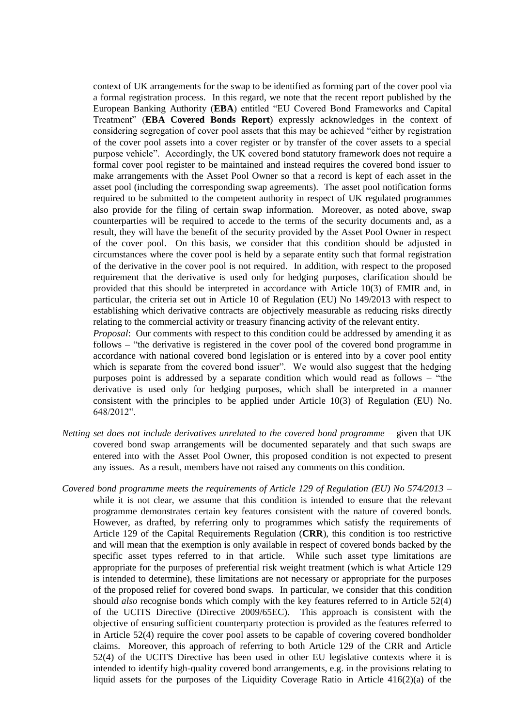context of UK arrangements for the swap to be identified as forming part of the cover pool via a formal registration process. In this regard, we note that the recent report published by the European Banking Authority (**EBA**) entitled "EU Covered Bond Frameworks and Capital Treatment" (**EBA Covered Bonds Report**) expressly acknowledges in the context of considering segregation of cover pool assets that this may be achieved "either by registration of the cover pool assets into a cover register or by transfer of the cover assets to a special purpose vehicle". Accordingly, the UK covered bond statutory framework does not require a formal cover pool register to be maintained and instead requires the covered bond issuer to make arrangements with the Asset Pool Owner so that a record is kept of each asset in the asset pool (including the corresponding swap agreements). The asset pool notification forms required to be submitted to the competent authority in respect of UK regulated programmes also provide for the filing of certain swap information. Moreover, as noted above, swap counterparties will be required to accede to the terms of the security documents and, as a result, they will have the benefit of the security provided by the Asset Pool Owner in respect of the cover pool. On this basis, we consider that this condition should be adjusted in circumstances where the cover pool is held by a separate entity such that formal registration of the derivative in the cover pool is not required. In addition, with respect to the proposed requirement that the derivative is used only for hedging purposes, clarification should be provided that this should be interpreted in accordance with Article 10(3) of EMIR and, in particular, the criteria set out in Article 10 of Regulation (EU) No 149/2013 with respect to establishing which derivative contracts are objectively measurable as reducing risks directly relating to the commercial activity or treasury financing activity of the relevant entity.

*Proposal*: Our comments with respect to this condition could be addressed by amending it as follows – "the derivative is registered in the cover pool of the covered bond programme in accordance with national covered bond legislation or is entered into by a cover pool entity which is separate from the covered bond issuer". We would also suggest that the hedging purposes point is addressed by a separate condition which would read as follows – "the derivative is used only for hedging purposes, which shall be interpreted in a manner consistent with the principles to be applied under Article 10(3) of Regulation (EU) No. 648/2012".

- *Netting set does not include derivatives unrelated to the covered bond programme* given that UK covered bond swap arrangements will be documented separately and that such swaps are entered into with the Asset Pool Owner, this proposed condition is not expected to present any issues. As a result, members have not raised any comments on this condition.
- *Covered bond programme meets the requirements of Article 129 of Regulation (EU) No 574/2013* while it is not clear, we assume that this condition is intended to ensure that the relevant programme demonstrates certain key features consistent with the nature of covered bonds. However, as drafted, by referring only to programmes which satisfy the requirements of Article 129 of the Capital Requirements Regulation (**CRR**), this condition is too restrictive and will mean that the exemption is only available in respect of covered bonds backed by the specific asset types referred to in that article. While such asset type limitations are appropriate for the purposes of preferential risk weight treatment (which is what Article 129 is intended to determine), these limitations are not necessary or appropriate for the purposes of the proposed relief for covered bond swaps. In particular, we consider that this condition should *also* recognise bonds which comply with the key features referred to in Article 52(4) of the UCITS Directive (Directive 2009/65EC). This approach is consistent with the objective of ensuring sufficient counterparty protection is provided as the features referred to in Article 52(4) require the cover pool assets to be capable of covering covered bondholder claims. Moreover, this approach of referring to both Article 129 of the CRR and Article 52(4) of the UCITS Directive has been used in other EU legislative contexts where it is intended to identify high-quality covered bond arrangements, e.g. in the provisions relating to liquid assets for the purposes of the Liquidity Coverage Ratio in Article 416(2)(a) of the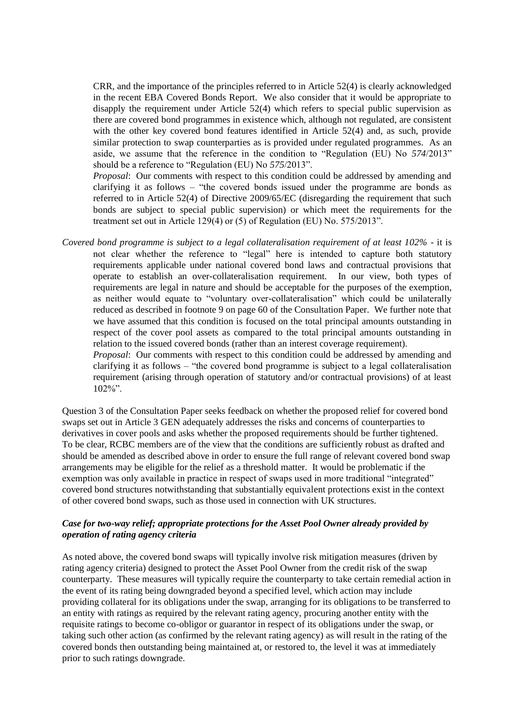CRR, and the importance of the principles referred to in Article 52(4) is clearly acknowledged in the recent EBA Covered Bonds Report. We also consider that it would be appropriate to disapply the requirement under Article 52(4) which refers to special public supervision as there are covered bond programmes in existence which, although not regulated, are consistent with the other key covered bond features identified in Article 52(4) and, as such, provide similar protection to swap counterparties as is provided under regulated programmes. As an aside, we assume that the reference in the condition to "Regulation (EU) No *574*/2013" should be a reference to "Regulation (EU) No *575*/2013".

*Proposal*: Our comments with respect to this condition could be addressed by amending and clarifying it as follows – "the covered bonds issued under the programme are bonds as referred to in Article 52(4) of Directive 2009/65/EC (disregarding the requirement that such bonds are subject to special public supervision) or which meet the requirements for the treatment set out in Article 129(4) or (5) of Regulation (EU) No. 575/2013".

*Covered bond programme is subject to a legal collateralisation requirement of at least 102%* - it is not clear whether the reference to "legal" here is intended to capture both statutory requirements applicable under national covered bond laws and contractual provisions that operate to establish an over-collateralisation requirement. In our view, both types of requirements are legal in nature and should be acceptable for the purposes of the exemption, as neither would equate to "voluntary over-collateralisation" which could be unilaterally reduced as described in footnote 9 on page 60 of the Consultation Paper. We further note that we have assumed that this condition is focused on the total principal amounts outstanding in respect of the cover pool assets as compared to the total principal amounts outstanding in relation to the issued covered bonds (rather than an interest coverage requirement).

*Proposal*: Our comments with respect to this condition could be addressed by amending and clarifying it as follows – "the covered bond programme is subject to a legal collateralisation requirement (arising through operation of statutory and/or contractual provisions) of at least 102%".

Question 3 of the Consultation Paper seeks feedback on whether the proposed relief for covered bond swaps set out in Article 3 GEN adequately addresses the risks and concerns of counterparties to derivatives in cover pools and asks whether the proposed requirements should be further tightened. To be clear, RCBC members are of the view that the conditions are sufficiently robust as drafted and should be amended as described above in order to ensure the full range of relevant covered bond swap arrangements may be eligible for the relief as a threshold matter. It would be problematic if the exemption was only available in practice in respect of swaps used in more traditional "integrated" covered bond structures notwithstanding that substantially equivalent protections exist in the context of other covered bond swaps, such as those used in connection with UK structures.

# *Case for two-way relief; appropriate protections for the Asset Pool Owner already provided by operation of rating agency criteria*

As noted above, the covered bond swaps will typically involve risk mitigation measures (driven by rating agency criteria) designed to protect the Asset Pool Owner from the credit risk of the swap counterparty. These measures will typically require the counterparty to take certain remedial action in the event of its rating being downgraded beyond a specified level, which action may include providing collateral for its obligations under the swap, arranging for its obligations to be transferred to an entity with ratings as required by the relevant rating agency, procuring another entity with the requisite ratings to become co-obligor or guarantor in respect of its obligations under the swap, or taking such other action (as confirmed by the relevant rating agency) as will result in the rating of the covered bonds then outstanding being maintained at, or restored to, the level it was at immediately prior to such ratings downgrade.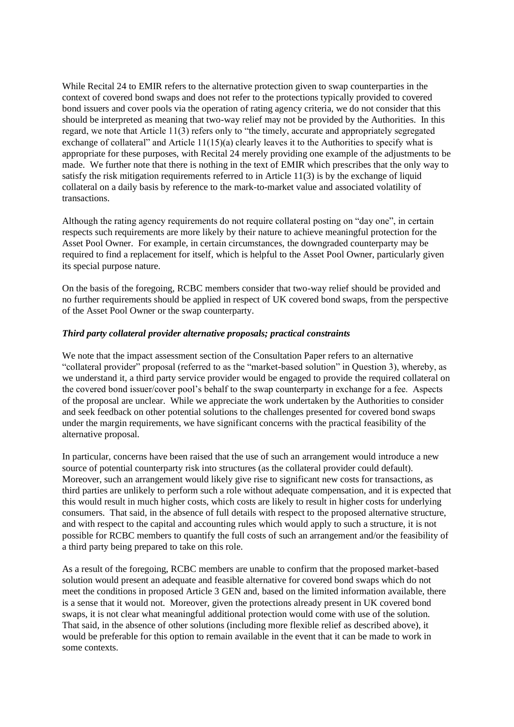While Recital 24 to EMIR refers to the alternative protection given to swap counterparties in the context of covered bond swaps and does not refer to the protections typically provided to covered bond issuers and cover pools via the operation of rating agency criteria, we do not consider that this should be interpreted as meaning that two-way relief may not be provided by the Authorities. In this regard, we note that Article 11(3) refers only to "the timely, accurate and appropriately segregated exchange of collateral" and Article 11(15)(a) clearly leaves it to the Authorities to specify what is appropriate for these purposes, with Recital 24 merely providing one example of the adjustments to be made. We further note that there is nothing in the text of EMIR which prescribes that the only way to satisfy the risk mitigation requirements referred to in Article 11(3) is by the exchange of liquid collateral on a daily basis by reference to the mark-to-market value and associated volatility of transactions.

Although the rating agency requirements do not require collateral posting on "day one", in certain respects such requirements are more likely by their nature to achieve meaningful protection for the Asset Pool Owner. For example, in certain circumstances, the downgraded counterparty may be required to find a replacement for itself, which is helpful to the Asset Pool Owner, particularly given its special purpose nature.

On the basis of the foregoing, RCBC members consider that two-way relief should be provided and no further requirements should be applied in respect of UK covered bond swaps, from the perspective of the Asset Pool Owner or the swap counterparty.

## *Third party collateral provider alternative proposals; practical constraints*

We note that the impact assessment section of the Consultation Paper refers to an alternative "collateral provider" proposal (referred to as the "market-based solution" in Question 3), whereby, as we understand it, a third party service provider would be engaged to provide the required collateral on the covered bond issuer/cover pool's behalf to the swap counterparty in exchange for a fee. Aspects of the proposal are unclear. While we appreciate the work undertaken by the Authorities to consider and seek feedback on other potential solutions to the challenges presented for covered bond swaps under the margin requirements, we have significant concerns with the practical feasibility of the alternative proposal.

In particular, concerns have been raised that the use of such an arrangement would introduce a new source of potential counterparty risk into structures (as the collateral provider could default). Moreover, such an arrangement would likely give rise to significant new costs for transactions, as third parties are unlikely to perform such a role without adequate compensation, and it is expected that this would result in much higher costs, which costs are likely to result in higher costs for underlying consumers. That said, in the absence of full details with respect to the proposed alternative structure, and with respect to the capital and accounting rules which would apply to such a structure, it is not possible for RCBC members to quantify the full costs of such an arrangement and/or the feasibility of a third party being prepared to take on this role.

As a result of the foregoing, RCBC members are unable to confirm that the proposed market-based solution would present an adequate and feasible alternative for covered bond swaps which do not meet the conditions in proposed Article 3 GEN and, based on the limited information available, there is a sense that it would not. Moreover, given the protections already present in UK covered bond swaps, it is not clear what meaningful additional protection would come with use of the solution. That said, in the absence of other solutions (including more flexible relief as described above), it would be preferable for this option to remain available in the event that it can be made to work in some contexts.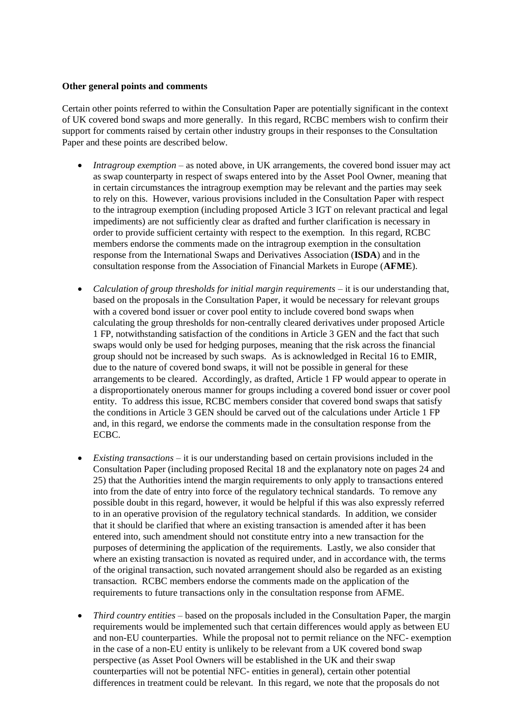### **Other general points and comments**

Certain other points referred to within the Consultation Paper are potentially significant in the context of UK covered bond swaps and more generally. In this regard, RCBC members wish to confirm their support for comments raised by certain other industry groups in their responses to the Consultation Paper and these points are described below.

- *Intragroup exemption* as noted above, in UK arrangements, the covered bond issuer may act as swap counterparty in respect of swaps entered into by the Asset Pool Owner, meaning that in certain circumstances the intragroup exemption may be relevant and the parties may seek to rely on this. However, various provisions included in the Consultation Paper with respect to the intragroup exemption (including proposed Article 3 IGT on relevant practical and legal impediments) are not sufficiently clear as drafted and further clarification is necessary in order to provide sufficient certainty with respect to the exemption. In this regard, RCBC members endorse the comments made on the intragroup exemption in the consultation response from the International Swaps and Derivatives Association (**ISDA**) and in the consultation response from the Association of Financial Markets in Europe (**AFME**).
- *Calculation of group thresholds for initial margin requirements* it is our understanding that, based on the proposals in the Consultation Paper, it would be necessary for relevant groups with a covered bond issuer or cover pool entity to include covered bond swaps when calculating the group thresholds for non-centrally cleared derivatives under proposed Article 1 FP, notwithstanding satisfaction of the conditions in Article 3 GEN and the fact that such swaps would only be used for hedging purposes, meaning that the risk across the financial group should not be increased by such swaps. As is acknowledged in Recital 16 to EMIR, due to the nature of covered bond swaps, it will not be possible in general for these arrangements to be cleared. Accordingly, as drafted, Article 1 FP would appear to operate in a disproportionately onerous manner for groups including a covered bond issuer or cover pool entity. To address this issue, RCBC members consider that covered bond swaps that satisfy the conditions in Article 3 GEN should be carved out of the calculations under Article 1 FP and, in this regard, we endorse the comments made in the consultation response from the ECBC.
- *Existing transactions* it is our understanding based on certain provisions included in the Consultation Paper (including proposed Recital 18 and the explanatory note on pages 24 and 25) that the Authorities intend the margin requirements to only apply to transactions entered into from the date of entry into force of the regulatory technical standards. To remove any possible doubt in this regard, however, it would be helpful if this was also expressly referred to in an operative provision of the regulatory technical standards. In addition, we consider that it should be clarified that where an existing transaction is amended after it has been entered into, such amendment should not constitute entry into a new transaction for the purposes of determining the application of the requirements. Lastly, we also consider that where an existing transaction is novated as required under, and in accordance with, the terms of the original transaction, such novated arrangement should also be regarded as an existing transaction. RCBC members endorse the comments made on the application of the requirements to future transactions only in the consultation response from AFME.
- *Third country entities* based on the proposals included in the Consultation Paper, the margin requirements would be implemented such that certain differences would apply as between EU and non-EU counterparties. While the proposal not to permit reliance on the NFC- exemption in the case of a non-EU entity is unlikely to be relevant from a UK covered bond swap perspective (as Asset Pool Owners will be established in the UK and their swap counterparties will not be potential NFC- entities in general), certain other potential differences in treatment could be relevant. In this regard, we note that the proposals do not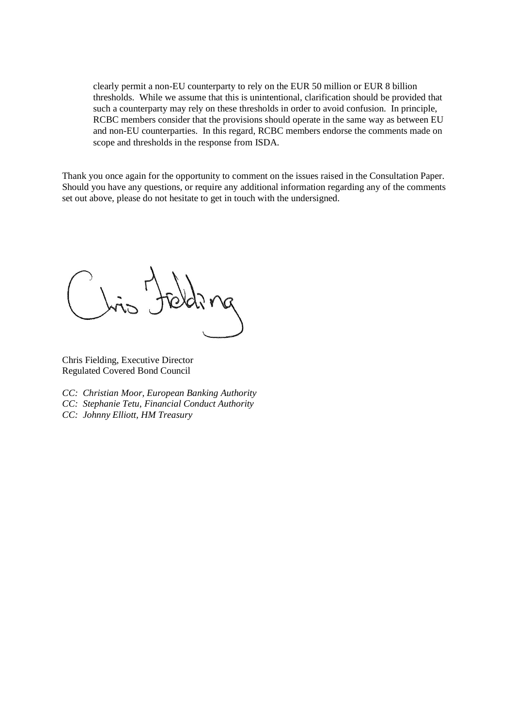clearly permit a non-EU counterparty to rely on the EUR 50 million or EUR 8 billion thresholds. While we assume that this is unintentional, clarification should be provided that such a counterparty may rely on these thresholds in order to avoid confusion. In principle, RCBC members consider that the provisions should operate in the same way as between EU and non-EU counterparties. In this regard, RCBC members endorse the comments made on scope and thresholds in the response from ISDA.

Thank you once again for the opportunity to comment on the issues raised in the Consultation Paper. Should you have any questions, or require any additional information regarding any of the comments set out above, please do not hesitate to get in touch with the undersigned.

Chris Fielding, Executive Director Regulated Covered Bond Council

- *CC: Christian Moor, European Banking Authority*
- *CC: Stephanie Tetu, Financial Conduct Authority*
- *CC: Johnny Elliott, HM Treasury*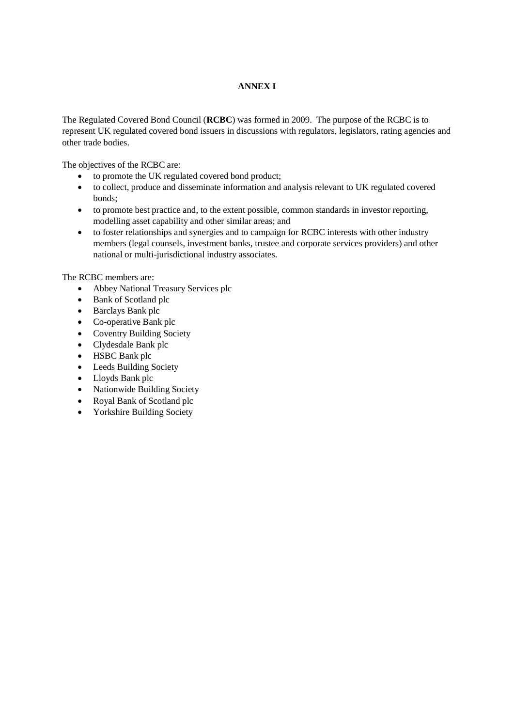# **ANNEX I**

The Regulated Covered Bond Council (**RCBC**) was formed in 2009. The purpose of the RCBC is to represent UK regulated covered bond issuers in discussions with regulators, legislators, rating agencies and other trade bodies.

The objectives of the RCBC are:

- to promote the UK regulated covered bond product;
- to collect, produce and disseminate information and analysis relevant to UK regulated covered bonds;
- to promote best practice and, to the extent possible, common standards in investor reporting, modelling asset capability and other similar areas; and
- to foster relationships and synergies and to campaign for RCBC interests with other industry members (legal counsels, investment banks, trustee and corporate services providers) and other national or multi-jurisdictional industry associates.

The RCBC members are:

- Abbey National Treasury Services plc
- Bank of Scotland plc
- Barclays Bank plc
- Co-operative Bank plc
- Coventry Building Society
- Clydesdale Bank plc
- HSBC Bank plc
- Leeds Building Society
- Lloyds Bank plc
- Nationwide Building Society
- Royal Bank of Scotland plc
- Yorkshire Building Society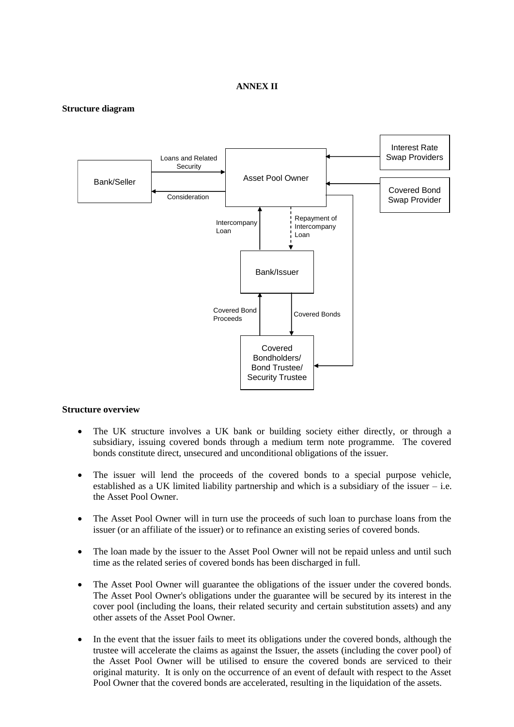#### **ANNEX II**

#### **Structure diagram**



#### **Structure overview**

- The UK structure involves a UK bank or building society either directly, or through a subsidiary, issuing covered bonds through a medium term note programme. The covered bonds constitute direct, unsecured and unconditional obligations of the issuer.
- The issuer will lend the proceeds of the covered bonds to a special purpose vehicle, established as a UK limited liability partnership and which is a subsidiary of the issuer – i.e. the Asset Pool Owner.
- The Asset Pool Owner will in turn use the proceeds of such loan to purchase loans from the issuer (or an affiliate of the issuer) or to refinance an existing series of covered bonds.
- The loan made by the issuer to the Asset Pool Owner will not be repaid unless and until such time as the related series of covered bonds has been discharged in full.
- The Asset Pool Owner will guarantee the obligations of the issuer under the covered bonds. The Asset Pool Owner's obligations under the guarantee will be secured by its interest in the cover pool (including the loans, their related security and certain substitution assets) and any other assets of the Asset Pool Owner.
- In the event that the issuer fails to meet its obligations under the covered bonds, although the trustee will accelerate the claims as against the Issuer, the assets (including the cover pool) of the Asset Pool Owner will be utilised to ensure the covered bonds are serviced to their original maturity. It is only on the occurrence of an event of default with respect to the Asset Pool Owner that the covered bonds are accelerated, resulting in the liquidation of the assets.